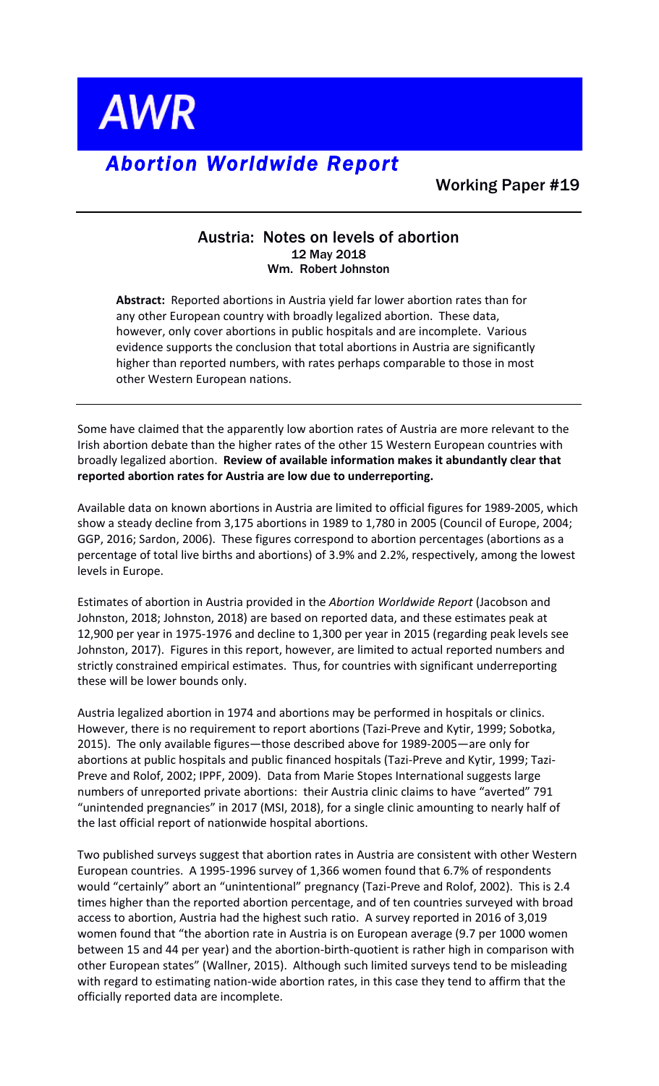**AWR** 

## *Abortion Worldwide Report*

Working Paper #19

## Austria: Notes on levels of abortion 12 May 2018 Wm. Robert Johnston

Abstract: Reported abortions in Austria yield far lower abortion rates than for any other European country with broadly legalized abortion. These data, however, only cover abortions in public hospitals and are incomplete. Various evidence supports the conclusion that total abortions in Austria are significantly higher than reported numbers, with rates perhaps comparable to those in most other Western European nations.

Some have claimed that the apparently low abortion rates of Austria are more relevant to the Irish abortion debate than the higher rates of the other 15 Western European countries with broadly legalized abortion. Review of available information makes it abundantly clear that reported abortion rates for Austria are low due to underreporting.

Available data on known abortions in Austria are limited to official figures for 1989-2005, which show a steady decline from 3,175 abortions in 1989 to 1,780 in 2005 (Council of Europe, 2004; GGP, 2016; Sardon, 2006). These figures correspond to abortion percentages (abortions as a percentage of total live births and abortions) of 3.9% and 2.2%, respectively, among the lowest levels in Europe.

Estimates of abortion in Austria provided in the *Abortion Worldwide Report* (Jacobson and Johnston, 2018; Johnston, 2018) are based on reported data, and these estimates peak at 12,900 per year in 1975-1976 and decline to 1,300 per year in 2015 (regarding peak levels see Johnston, 2017). Figures in this report, however, are limited to actual reported numbers and strictly constrained empirical estimates. Thus, for countries with significant underreporting these will be lower bounds only.

Austria legalized abortion in 1974 and abortions may be performed in hospitals or clinics. However, there is no requirement to report abortions (Tazi-Preve and Kytir, 1999; Sobotka, 2015). The only available figures—those described above for 1989-2005—are only for abortions at public hospitals and public financed hospitals (Tazi-Preve and Kytir, 1999; Tazi-Preve and Rolof, 2002; IPPF, 2009). Data from Marie Stopes International suggests large numbers of unreported private abortions: their Austria clinic claims to have "averted" 791 "unintended pregnancies" in 2017 (MSI, 2018), for a single clinic amounting to nearly half of the last official report of nationwide hospital abortions.

Two published surveys suggest that abortion rates in Austria are consistent with other Western European countries. A 1995-1996 survey of 1,366 women found that 6.7% of respondents would "certainly" abort an "unintentional" pregnancy (Tazi-Preve and Rolof, 2002). This is 2.4 times higher than the reported abortion percentage, and of ten countries surveyed with broad access to abortion, Austria had the highest such ratio. A survey reported in 2016 of 3,019 women found that "the abortion rate in Austria is on European average (9.7 per 1000 women between 15 and 44 per year) and the abortion-birth-quotient is rather high in comparison with other European states" (Wallner, 2015). Although such limited surveys tend to be misleading with regard to estimating nation-wide abortion rates, in this case they tend to affirm that the officially reported data are incomplete.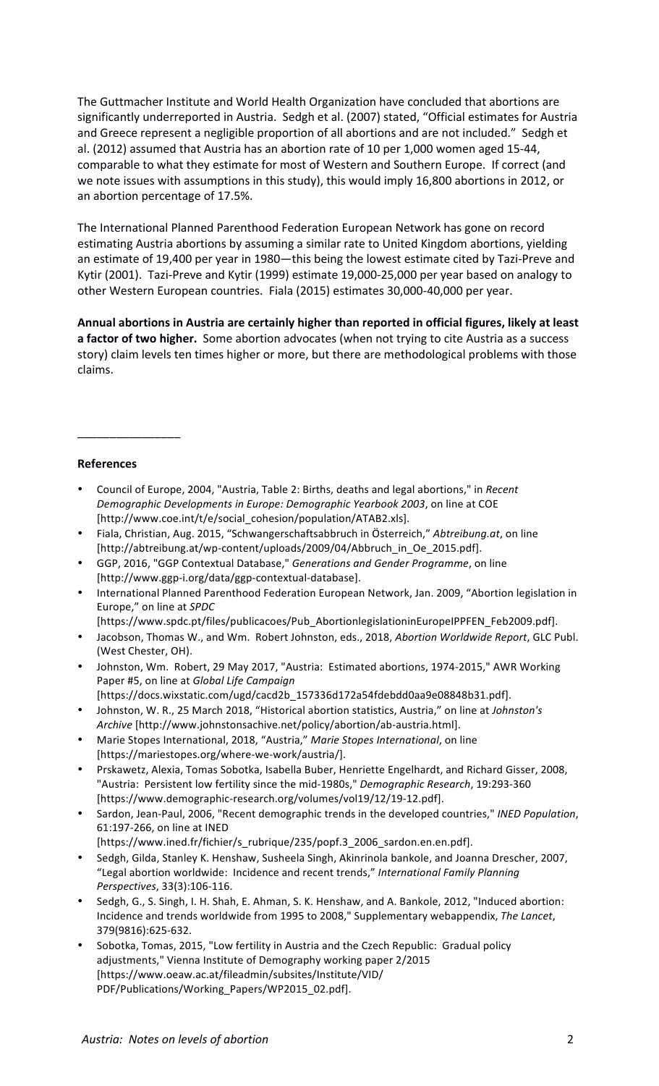The Guttmacher Institute and World Health Organization have concluded that abortions are significantly underreported in Austria. Sedgh et al. (2007) stated, "Official estimates for Austria and Greece represent a negligible proportion of all abortions and are not included." Sedgh et al. (2012) assumed that Austria has an abortion rate of 10 per 1,000 women aged 15-44, comparable to what they estimate for most of Western and Southern Europe. If correct (and we note issues with assumptions in this study), this would imply 16,800 abortions in 2012, or an abortion percentage of 17.5%.

The International Planned Parenthood Federation European Network has gone on record estimating Austria abortions by assuming a similar rate to United Kingdom abortions, yielding an estimate of 19,400 per year in 1980-this being the lowest estimate cited by Tazi-Preve and Kytir (2001). Tazi-Preve and Kytir (1999) estimate 19,000-25,000 per year based on analogy to other Western European countries. Fiala (2015) estimates 30,000-40,000 per year.

Annual abortions in Austria are certainly higher than reported in official figures, likely at least **a factor of two higher.** Some abortion advocates (when not trying to cite Austria as a success story) claim levels ten times higher or more, but there are methodological problems with those claims.

## **References**

 $\overline{\phantom{a}}$  , we can also the contract of  $\overline{\phantom{a}}$ 

- Council of Europe, 2004, "Austria, Table 2: Births, deaths and legal abortions," in *Recent* Demographic Developments in Europe: Demographic Yearbook 2003, on line at COE [http://www.coe.int/t/e/social\_cohesion/population/ATAB2.xls].
- Fiala, Christian, Aug. 2015, "Schwangerschaftsabbruch in Österreich," Abtreibung.at, on line [http://abtreibung.at/wp-content/uploads/2009/04/Abbruch\_in\_Oe\_2015.pdf].
- GGP, 2016, "GGP Contextual Database," *Generations and Gender Programme*, on line [http://www.ggp-i.org/data/ggp-contextual-database].
- International Planned Parenthood Federation European Network, Jan. 2009, "Abortion legislation in Europe," on line at SPDC

[https://www.spdc.pt/files/publicacoes/Pub\_AbortionlegislationinEuropeIPPFEN\_Feb2009.pdf].

- Jacobson, Thomas W., and Wm. Robert Johnston, eds., 2018, Abortion Worldwide Report, GLC Publ. (West Chester, OH).
- Johnston, Wm. Robert, 29 May 2017, "Austria: Estimated abortions, 1974-2015," AWR Working Paper #5, on line at *Global Life Campaign*
- [https://docs.wixstatic.com/ugd/cacd2b\_157336d172a54fdebdd0aa9e08848b31.pdf]. Johnston, W. R., 25 March 2018, "Historical abortion statistics, Austria," on line at *Johnston's*
- *Archive* [http://www.johnstonsachive.net/policy/abortion/ab-austria.html].
- Marie Stopes International, 2018, "Austria," Marie Stopes International, on line [https://mariestopes.org/where-we-work/austria/].
- Prskawetz, Alexia, Tomas Sobotka, Isabella Buber, Henriette Engelhardt, and Richard Gisser, 2008, "Austria: Persistent low fertility since the mid-1980s," Demographic Research, 19:293-360 [https://www.demographic-research.org/volumes/vol19/12/19-12.pdf].
- Sardon, Jean-Paul, 2006, "Recent demographic trends in the developed countries," INED Population, 61:197-266, on line at INED
- [https://www.ined.fr/fichier/s\_rubrique/235/popf.3\_2006\_sardon.en.en.pdf].
- Sedgh, Gilda, Stanley K. Henshaw, Susheela Singh, Akinrinola bankole, and Joanna Drescher, 2007, "Legal abortion worldwide: Incidence and recent trends," International Family Planning *Perspectives*, 33(3):106-116.
- Sedgh, G., S. Singh, I. H. Shah, E. Ahman, S. K. Henshaw, and A. Bankole, 2012, "Induced abortion: Incidence and trends worldwide from 1995 to 2008," Supplementary webappendix, The Lancet, 379(9816):625-632.
- Sobotka, Tomas, 2015, "Low fertility in Austria and the Czech Republic: Gradual policy adjustments," Vienna Institute of Demography working paper 2/2015 [https://www.oeaw.ac.at/fileadmin/subsites/Institute/VID/ PDF/Publications/Working\_Papers/WP2015\_02.pdf].